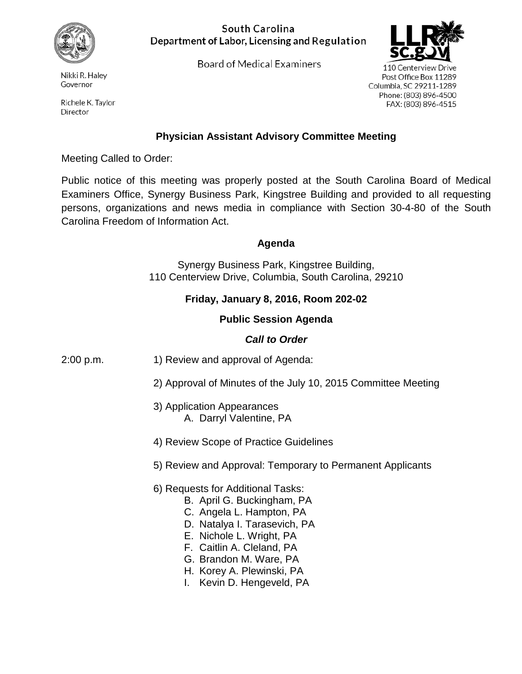

Nikki R. Haley Governor

Richele K. Taylor Director

### South Carolina Department of Labor, Licensing and Regulation

Board of Medical Examiners



110 Centerview Drive Post Office Box 11289 Columbia. SC 29211-1289 Phone: (803) 896-4500 FAX: (803) 896-4515

## **Physician Assistant Advisory Committee Meeting**

Meeting Called to Order:

Public notice of this meeting was properly posted at the South Carolina Board of Medical Examiners Office, Synergy Business Park, Kingstree Building and provided to all requesting persons, organizations and news media in compliance with Section 30-4-80 of the South Carolina Freedom of Information Act.

#### **Agenda**

Synergy Business Park, Kingstree Building, 110 Centerview Drive, Columbia, South Carolina, 29210

# **Friday, January 8, 2016, Room 202-02**

### **Public Session Agenda**

### *Call to Order*

- 2:00 p.m. 1) Review and approval of Agenda:
	- 2) Approval of Minutes of the July 10, 2015 Committee Meeting
	- 3) Application Appearances A. Darryl Valentine, PA
	- 4) Review Scope of Practice Guidelines
	- 5) Review and Approval: Temporary to Permanent Applicants
	- 6) Requests for Additional Tasks:
		- B. April G. Buckingham, PA
		- C. Angela L. Hampton, PA
		- D. Natalya I. Tarasevich, PA
		- E. Nichole L. Wright, PA
		- F. Caitlin A. Cleland, PA
		- G. Brandon M. Ware, PA
		- H. Korey A. Plewinski, PA
		- I. Kevin D. Hengeveld, PA